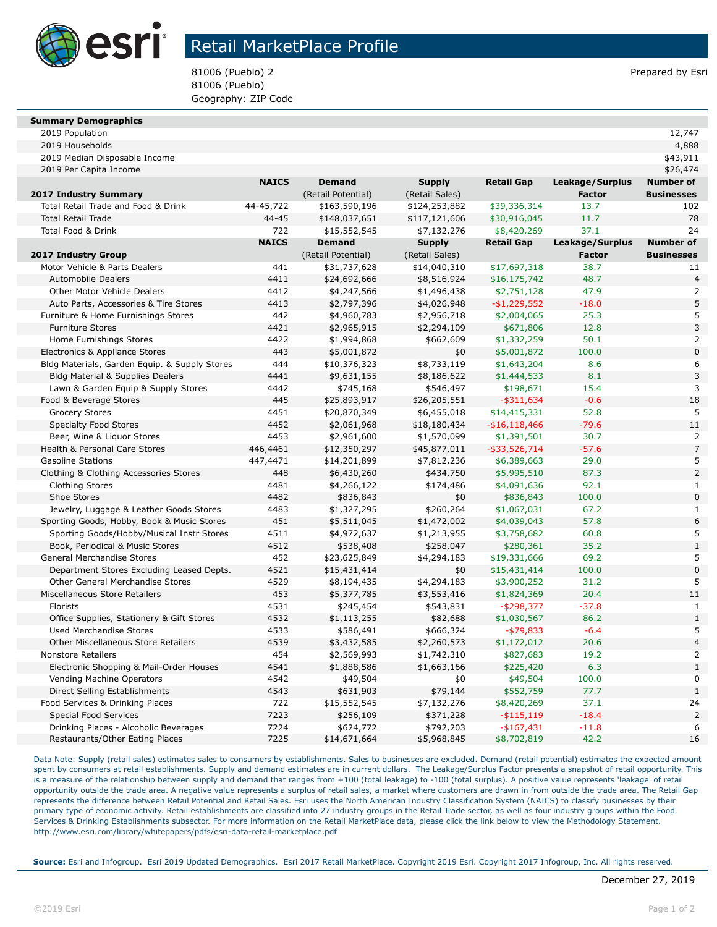

## Retail MarketPlace Profile

81006 (Pueblo) 2 Prepared by Esri 81006 (Pueblo) Geography: ZIP Code

| <b>Summary Demographics</b> |  |
|-----------------------------|--|

| 2019 Population | ᅩᄼ |
|-----------------|----|
|-----------------|----|

| 2019 Median Disposable Income                 |              |                    |                |                   |                 | \$43,911             |
|-----------------------------------------------|--------------|--------------------|----------------|-------------------|-----------------|----------------------|
| 2019 Per Capita Income                        |              |                    |                |                   |                 | \$26,474             |
|                                               | <b>NAICS</b> | <b>Demand</b>      | <b>Supply</b>  | <b>Retail Gap</b> | Leakage/Surplus | <b>Number of</b>     |
| 2017 Industry Summary                         |              | (Retail Potential) | (Retail Sales) |                   | <b>Factor</b>   | <b>Businesses</b>    |
| Total Retail Trade and Food & Drink           | 44-45,722    | \$163,590,196      | \$124,253,882  | \$39,336,314      | 13.7            | 102                  |
| <b>Total Retail Trade</b>                     | $44 - 45$    | \$148,037,651      | \$117,121,606  | \$30,916,045      | 11.7            | 78                   |
| Total Food & Drink                            | 722          | \$15,552,545       | \$7,132,276    | \$8,420,269       | 37.1            | 24                   |
|                                               | <b>NAICS</b> | <b>Demand</b>      | <b>Supply</b>  | <b>Retail Gap</b> | Leakage/Surplus | <b>Number of</b>     |
| <b>2017 Industry Group</b>                    |              | (Retail Potential) | (Retail Sales) |                   | <b>Factor</b>   | <b>Businesses</b>    |
| Motor Vehicle & Parts Dealers                 | 441          | \$31,737,628       | \$14,040,310   | \$17,697,318      | 38.7            | 11                   |
| <b>Automobile Dealers</b>                     | 4411         | \$24,692,666       | \$8,516,924    | \$16,175,742      | 48.7            | $\overline{4}$       |
| <b>Other Motor Vehicle Dealers</b>            | 4412         | \$4,247,566        | \$1,496,438    | \$2,751,128       | 47.9            | $\overline{2}$       |
| Auto Parts, Accessories & Tire Stores         | 4413         | \$2,797,396        | \$4,026,948    | $-$1,229,552$     | $-18.0$         | 5                    |
| Furniture & Home Furnishings Stores           | 442          | \$4,960,783        | \$2,956,718    | \$2,004,065       | 25.3            | 5                    |
| <b>Furniture Stores</b>                       | 4421         | \$2,965,915        | \$2,294,109    | \$671,806         | 12.8            | 3                    |
| Home Furnishings Stores                       | 4422         | \$1,994,868        | \$662,609      | \$1,332,259       | 50.1            | $\overline{2}$       |
| Electronics & Appliance Stores                | 443          | \$5,001,872        | \$0            | \$5,001,872       | 100.0           | $\mathbf 0$          |
| Bldg Materials, Garden Equip. & Supply Stores | 444          | \$10,376,323       | \$8,733,119    | \$1,643,204       | 8.6             | 6                    |
| <b>Bldg Material &amp; Supplies Dealers</b>   | 4441         | \$9,631,155        | \$8,186,622    | \$1,444,533       | 8.1             | 3                    |
| Lawn & Garden Equip & Supply Stores           | 4442         | \$745,168          | \$546,497      | \$198,671         | 15.4            | 3                    |
| Food & Beverage Stores                        | 445          | \$25,893,917       | \$26,205,551   | $-$ \$311,634     | $-0.6$          | 18                   |
| <b>Grocery Stores</b>                         | 4451         | \$20,870,349       | \$6,455,018    | \$14,415,331      | 52.8            | 5                    |
| <b>Specialty Food Stores</b>                  | 4452         | \$2,061,968        | \$18,180,434   | $- $16,118,466$   | $-79.6$         | 11                   |
| Beer, Wine & Liquor Stores                    | 4453         | \$2,961,600        | \$1,570,099    | \$1,391,501       | 30.7            | $\overline{2}$       |
| Health & Personal Care Stores                 | 446,4461     | \$12,350,297       | \$45,877,011   | $-$ \$33,526,714  | $-57.6$         | $\overline{7}$       |
| <b>Gasoline Stations</b>                      | 447,4471     | \$14,201,899       | \$7,812,236    | \$6,389,663       | 29.0            | 5                    |
| Clothing & Clothing Accessories Stores        | 448          | \$6,430,260        | \$434,750      | \$5,995,510       | 87.3            | $\overline{2}$       |
| <b>Clothing Stores</b>                        | 4481         | \$4,266,122        | \$174,486      | \$4,091,636       | 92.1            | $\mathbf{1}$         |
| Shoe Stores                                   | 4482         | \$836,843          | \$0            | \$836,843         | 100.0           | $\Omega$             |
| Jewelry, Luggage & Leather Goods Stores       | 4483         | \$1,327,295        | \$260,264      | \$1,067,031       | 67.2            | $\mathbf{1}$         |
| Sporting Goods, Hobby, Book & Music Stores    | 451          | \$5,511,045        | \$1,472,002    | \$4,039,043       | 57.8            | 6                    |
| Sporting Goods/Hobby/Musical Instr Stores     | 4511         | \$4,972,637        | \$1,213,955    | \$3,758,682       | 60.8            | 5                    |
| Book, Periodical & Music Stores               | 4512         | \$538,408          | \$258,047      | \$280,361         | 35.2            | $\mathbf{1}$         |
| General Merchandise Stores                    | 452          | \$23,625,849       | \$4,294,183    | \$19,331,666      | 69.2            | 5                    |
| Department Stores Excluding Leased Depts.     | 4521         | \$15,431,414       | \$0            | \$15,431,414      | 100.0           | $\pmb{0}$            |
| <b>Other General Merchandise Stores</b>       | 4529         | \$8,194,435        | \$4,294,183    | \$3,900,252       | 31.2            | 5                    |
| Miscellaneous Store Retailers                 | 453          | \$5,377,785        | \$3,553,416    | \$1,824,369       | 20.4            | 11                   |
| Florists                                      | 4531         | \$245,454          | \$543,831      | -\$298,377        | $-37.8$         | $\mathbf{1}$         |
| Office Supplies, Stationery & Gift Stores     | 4532         | \$1,113,255        | \$82,688       | \$1,030,567       | 86.2            | $1\,$                |
| <b>Used Merchandise Stores</b>                | 4533         | \$586,491          | \$666,324      | $-$ \$79,833      | $-6.4$          | 5                    |
| Other Miscellaneous Store Retailers           | 4539         | \$3,432,585        | \$2,260,573    | \$1,172,012       | 20.6            | $\overline{4}$       |
| <b>Nonstore Retailers</b>                     | 454          | \$2,569,993        | \$1,742,310    | \$827,683         | 19.2            | 2                    |
| Electronic Shopping & Mail-Order Houses       | 4541         | \$1,888,586        | \$1,663,166    | \$225,420         | 6.3             | $\mathbf{1}$         |
| Vending Machine Operators                     | 4542         | \$49,504           | \$0            | \$49,504          | 100.0           | $\mathbf 0$          |
| Direct Selling Establishments                 | 4543         | \$631,903          | \$79,144       | \$552,759         | 77.7            | $\mathbf{1}$         |
| Food Services & Drinking Places               | 722          | \$15,552,545       | \$7,132,276    | \$8,420,269       | 37.1            | 24<br>$\overline{2}$ |
| <b>Special Food Services</b>                  | 7223         | \$256,109          | \$371,228      | $-$ \$115,119     | $-18.4$         |                      |
| Drinking Places - Alcoholic Beverages         | 7224<br>7225 | \$624,772          | \$792,203      | $-$167,431$       | $-11.8$<br>42.2 | 6<br>16              |
| Restaurants/Other Eating Places               |              | \$14,671,664       | \$5,968,845    | \$8,702,819       |                 |                      |

2019 Households 4,888

Data Note: Supply (retail sales) estimates sales to consumers by establishments. Sales to businesses are excluded. Demand (retail potential) estimates the expected amount spent by consumers at retail establishments. Supply and demand estimates are in current dollars. The Leakage/Surplus Factor presents a snapshot of retail opportunity. This is a measure of the relationship between supply and demand that ranges from +100 (total leakage) to -100 (total surplus). A positive value represents 'leakage' of retail opportunity outside the trade area. A negative value represents a surplus of retail sales, a market where customers are drawn in from outside the trade area. The Retail Gap represents the difference between Retail Potential and Retail Sales. Esri uses the North American Industry Classification System (NAICS) to classify businesses by their primary type of economic activity. Retail establishments are classified into 27 industry groups in the Retail Trade sector, as well as four industry groups within the Food Services & Drinking Establishments subsector. For more information on the Retail MarketPlace data, please click the link below to view the Methodology Statement. http://www.esri.com/library/whitepapers/pdfs/esri-data-retail-marketplace.pdf

**Source:** Esri and Infogroup. Esri 2019 Updated Demographics. Esri 2017 Retail MarketPlace. Copyright 2019 Esri. Copyright 2017 Infogroup, Inc. All rights reserved.